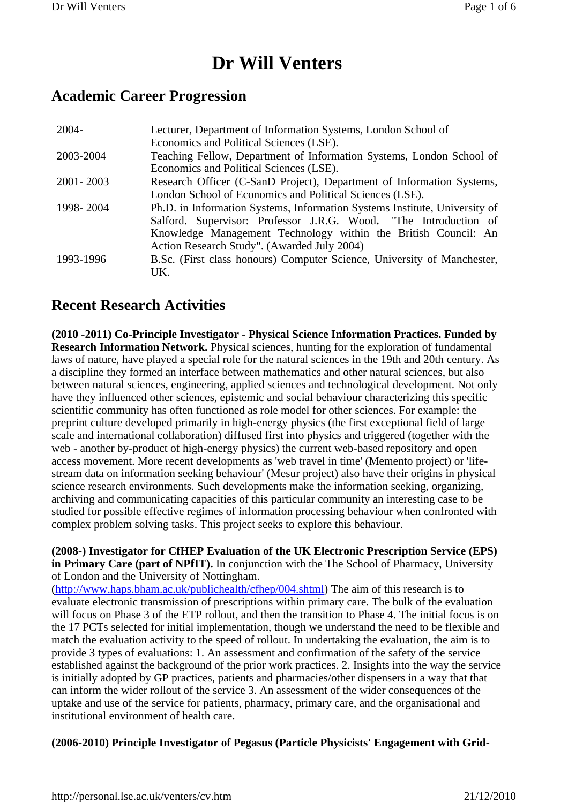# **Dr Will Venters**

## **Academic Career Progression**

| $2004 -$    | Lecturer, Department of Information Systems, London School of<br>Economics and Political Sciences (LSE).                                                                                                                                                        |
|-------------|-----------------------------------------------------------------------------------------------------------------------------------------------------------------------------------------------------------------------------------------------------------------|
| 2003-2004   | Teaching Fellow, Department of Information Systems, London School of<br>Economics and Political Sciences (LSE).                                                                                                                                                 |
| 2001 - 2003 | Research Officer (C-SanD Project), Department of Information Systems,<br>London School of Economics and Political Sciences (LSE).                                                                                                                               |
| 1998-2004   | Ph.D. in Information Systems, Information Systems Institute, University of<br>Salford. Supervisor: Professor J.R.G. Wood. "The Introduction of<br>Knowledge Management Technology within the British Council: An<br>Action Research Study". (Awarded July 2004) |
| 1993-1996   | B.Sc. (First class honours) Computer Science, University of Manchester,<br>UK.                                                                                                                                                                                  |

# **Recent Research Activities**

**(2010 -2011) Co-Principle Investigator - Physical Science Information Practices. Funded by Research Information Network.** Physical sciences, hunting for the exploration of fundamental laws of nature, have played a special role for the natural sciences in the 19th and 20th century. As a discipline they formed an interface between mathematics and other natural sciences, but also between natural sciences, engineering, applied sciences and technological development. Not only have they influenced other sciences, epistemic and social behaviour characterizing this specific scientific community has often functioned as role model for other sciences. For example: the preprint culture developed primarily in high-energy physics (the first exceptional field of large scale and international collaboration) diffused first into physics and triggered (together with the web - another by-product of high-energy physics) the current web-based repository and open access movement. More recent developments as 'web travel in time' (Memento project) or 'lifestream data on information seeking behaviour' (Mesur project) also have their origins in physical science research environments. Such developments make the information seeking, organizing, archiving and communicating capacities of this particular community an interesting case to be studied for possible effective regimes of information processing behaviour when confronted with complex problem solving tasks. This project seeks to explore this behaviour.

**(2008-) Investigator for CfHEP Evaluation of the UK Electronic Prescription Service (EPS) in Primary Care (part of NPfIT).** In conjunction with the The School of Pharmacy, University of London and the University of Nottingham.

(http://www.haps.bham.ac.uk/publichealth/cfhep/004.shtml) The aim of this research is to evaluate electronic transmission of prescriptions within primary care. The bulk of the evaluation will focus on Phase 3 of the ETP rollout, and then the transition to Phase 4. The initial focus is on the 17 PCTs selected for initial implementation, though we understand the need to be flexible and match the evaluation activity to the speed of rollout. In undertaking the evaluation, the aim is to provide 3 types of evaluations: 1. An assessment and confirmation of the safety of the service established against the background of the prior work practices. 2. Insights into the way the service is initially adopted by GP practices, patients and pharmacies/other dispensers in a way that that can inform the wider rollout of the service 3. An assessment of the wider consequences of the uptake and use of the service for patients, pharmacy, primary care, and the organisational and institutional environment of health care.

#### **(2006-2010) Principle Investigator of Pegasus (Particle Physicists' Engagement with Grid-**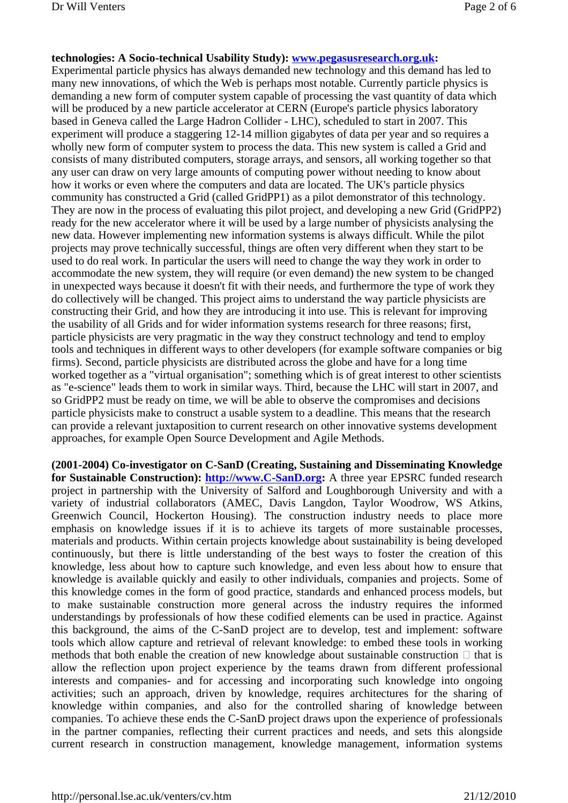#### **technologies: A Socio-technical Usability Study): www.pegasusresearch.org.uk:**

Experimental particle physics has always demanded new technology and this demand has led to many new innovations, of which the Web is perhaps most notable. Currently particle physics is demanding a new form of computer system capable of processing the vast quantity of data which will be produced by a new particle accelerator at CERN (Europe's particle physics laboratory based in Geneva called the Large Hadron Collider - LHC), scheduled to start in 2007. This experiment will produce a staggering 12-14 million gigabytes of data per year and so requires a wholly new form of computer system to process the data. This new system is called a Grid and consists of many distributed computers, storage arrays, and sensors, all working together so that any user can draw on very large amounts of computing power without needing to know about how it works or even where the computers and data are located. The UK's particle physics community has constructed a Grid (called GridPP1) as a pilot demonstrator of this technology. They are now in the process of evaluating this pilot project, and developing a new Grid (GridPP2) ready for the new accelerator where it will be used by a large number of physicists analysing the new data. However implementing new information systems is always difficult. While the pilot projects may prove technically successful, things are often very different when they start to be used to do real work. In particular the users will need to change the way they work in order to accommodate the new system, they will require (or even demand) the new system to be changed in unexpected ways because it doesn't fit with their needs, and furthermore the type of work they do collectively will be changed. This project aims to understand the way particle physicists are constructing their Grid, and how they are introducing it into use. This is relevant for improving the usability of all Grids and for wider information systems research for three reasons; first, particle physicists are very pragmatic in the way they construct technology and tend to employ tools and techniques in different ways to other developers (for example software companies or big firms). Second, particle physicists are distributed across the globe and have for a long time worked together as a "virtual organisation"; something which is of great interest to other scientists as "e-science" leads them to work in similar ways. Third, because the LHC will start in 2007, and so GridPP2 must be ready on time, we will be able to observe the compromises and decisions particle physicists make to construct a usable system to a deadline. This means that the research can provide a relevant juxtaposition to current research on other innovative systems development approaches, for example Open Source Development and Agile Methods.

**(2001-2004) Co-investigator on C-SanD (Creating, Sustaining and Disseminating Knowledge for Sustainable Construction): http://www.C-SanD.org:** A three year EPSRC funded research project in partnership with the University of Salford and Loughborough University and with a variety of industrial collaborators (AMEC, Davis Langdon, Taylor Woodrow, WS Atkins, Greenwich Council, Hockerton Housing). The construction industry needs to place more emphasis on knowledge issues if it is to achieve its targets of more sustainable processes, materials and products. Within certain projects knowledge about sustainability is being developed continuously, but there is little understanding of the best ways to foster the creation of this knowledge, less about how to capture such knowledge, and even less about how to ensure that knowledge is available quickly and easily to other individuals, companies and projects. Some of this knowledge comes in the form of good practice, standards and enhanced process models, but to make sustainable construction more general across the industry requires the informed understandings by professionals of how these codified elements can be used in practice. Against this background, the aims of the C-SanD project are to develop, test and implement: software tools which allow capture and retrieval of relevant knowledge: to embed these tools in working methods that both enable the creation of new knowledge about sustainable construction that is allow the reflection upon project experience by the teams drawn from different professional interests and companies- and for accessing and incorporating such knowledge into ongoing activities; such an approach, driven by knowledge, requires architectures for the sharing of knowledge within companies, and also for the controlled sharing of knowledge between companies. To achieve these ends the C-SanD project draws upon the experience of professionals in the partner companies, reflecting their current practices and needs, and sets this alongside current research in construction management, knowledge management, information systems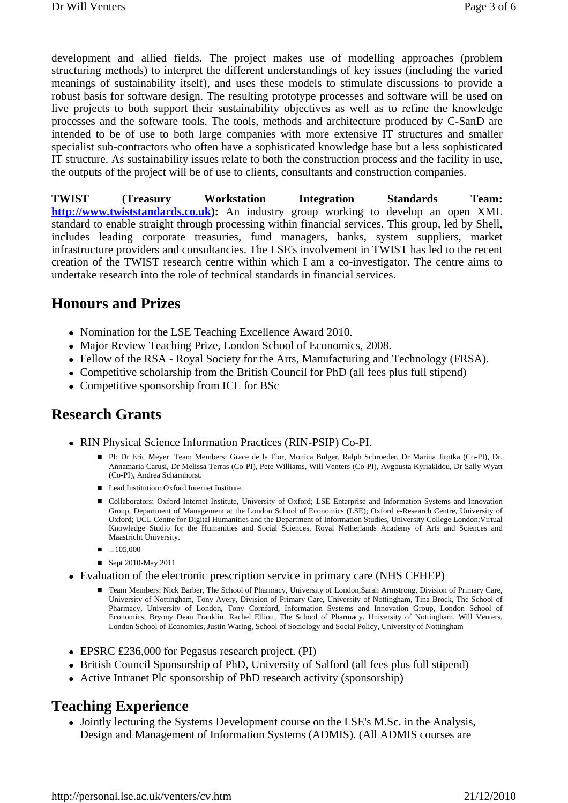development and allied fields. The project makes use of modelling approaches (problem structuring methods) to interpret the different understandings of key issues (including the varied meanings of sustainability itself), and uses these models to stimulate discussions to provide a robust basis for software design. The resulting prototype processes and software will be used on live projects to both support their sustainability objectives as well as to refine the knowledge processes and the software tools. The tools, methods and architecture produced by C-SanD are intended to be of use to both large companies with more extensive IT structures and smaller specialist sub-contractors who often have a sophisticated knowledge base but a less sophisticated IT structure. As sustainability issues relate to both the construction process and the facility in use, the outputs of the project will be of use to clients, consultants and construction companies.

**TWIST (Treasury Workstation Integration Standards Team: http://www.twiststandards.co.uk):** An industry group working to develop an open XML standard to enable straight through processing within financial services. This group, led by Shell, includes leading corporate treasuries, fund managers, banks, system suppliers, market infrastructure providers and consultancies. The LSE's involvement in TWIST has led to the recent creation of the TWIST research centre within which I am a co-investigator. The centre aims to undertake research into the role of technical standards in financial services.

#### **Honours and Prizes**

- Nomination for the LSE Teaching Excellence Award 2010.
- Major Review Teaching Prize, London School of Economics, 2008.
- Fellow of the RSA Royal Society for the Arts, Manufacturing and Technology (FRSA).
- Competitive scholarship from the British Council for PhD (all fees plus full stipend)
- Competitive sponsorship from ICL for BSc

### **Research Grants**

- RIN Physical Science Information Practices (RIN-PSIP) Co-PI.
	- PI: Dr Eric Meyer. Team Members: Grace de la Flor, Monica Bulger, Ralph Schroeder, Dr Marina Jirotka (Co-PI), Dr. Annamaria Carusi, Dr Melissa Terras (Co-PI), Pete Williams, Will Venters (Co-PI), Avgousta Kyriakidou, Dr Sally Wyatt (Co-PI), Andrea Scharnhorst.
	- Lead Institution: Oxford Internet Institute.
	- **Collaborators: Oxford Internet Institute, University of Oxford; LSE Enterprise and Information Systems and Innovation** Group, Department of Management at the London School of Economics (LSE); Oxford e-Research Centre, University of Oxford; UCL Centre for Digital Humanities and the Department of Information Studies, University College London;Virtual Knowledge Studio for the Humanities and Social Sciences, Royal Netherlands Academy of Arts and Sciences and Maastricht University.
	- -105,000
	- Sept 2010-May 2011
- Evaluation of the electronic prescription service in primary care (NHS CFHEP)
	- Team Members: Nick Barber, The School of Pharmacy, University of London, Sarah Armstrong, Division of Primary Care, University of Nottingham, Tony Avery, Division of Primary Care, University of Nottingham, Tina Brock, The School of Pharmacy, University of London, Tony Cornford, Information Systems and Innovation Group, London School of Economics, Bryony Dean Franklin, Rachel Elliott, The School of Pharmacy, University of Nottingham, Will Venters, London School of Economics, Justin Waring, School of Sociology and Social Policy, University of Nottingham
- EPSRC £236,000 for Pegasus research project. (PI)
- British Council Sponsorship of PhD, University of Salford (all fees plus full stipend)
- Active Intranet Plc sponsorship of PhD research activity (sponsorship)

#### **Teaching Experience**

 Jointly lecturing the Systems Development course on the LSE's M.Sc. in the Analysis, Design and Management of Information Systems (ADMIS). (All ADMIS courses are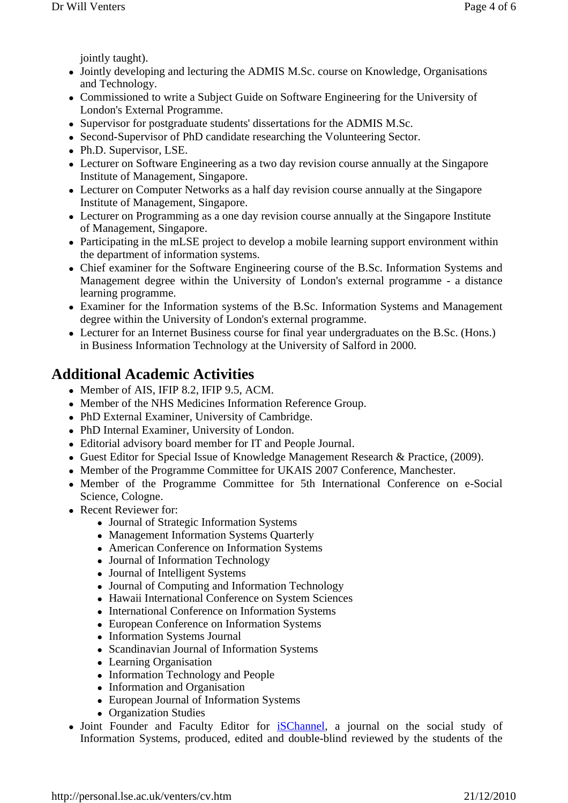jointly taught).

- Jointly developing and lecturing the ADMIS M.Sc. course on Knowledge, Organisations and Technology.
- Commissioned to write a Subject Guide on Software Engineering for the University of London's External Programme.
- Supervisor for postgraduate students' dissertations for the ADMIS M.Sc.
- Second-Supervisor of PhD candidate researching the Volunteering Sector.
- Ph.D. Supervisor, LSE.
- Lecturer on Software Engineering as a two day revision course annually at the Singapore Institute of Management, Singapore.
- Lecturer on Computer Networks as a half day revision course annually at the Singapore Institute of Management, Singapore.
- Lecturer on Programming as a one day revision course annually at the Singapore Institute of Management, Singapore.
- Participating in the mLSE project to develop a mobile learning support environment within the department of information systems.
- Chief examiner for the Software Engineering course of the B.Sc. Information Systems and Management degree within the University of London's external programme - a distance learning programme.
- Examiner for the Information systems of the B.Sc. Information Systems and Management degree within the University of London's external programme.
- Lecturer for an Internet Business course for final year undergraduates on the B.Sc. (Hons.) in Business Information Technology at the University of Salford in 2000.

# **Additional Academic Activities**

- Member of AIS, IFIP 8.2, IFIP 9.5, ACM.
- Member of the NHS Medicines Information Reference Group.
- PhD External Examiner, University of Cambridge.
- PhD Internal Examiner, University of London.
- Editorial advisory board member for IT and People Journal.
- Guest Editor for Special Issue of Knowledge Management Research & Practice, (2009).
- Member of the Programme Committee for UKAIS 2007 Conference, Manchester.
- Member of the Programme Committee for 5th International Conference on e-Social Science, Cologne.
- Recent Reviewer for:
	- Journal of Strategic Information Systems
	- Management Information Systems Quarterly
	- American Conference on Information Systems
	- Journal of Information Technology
	- Journal of Intelligent Systems
	- Journal of Computing and Information Technology
	- Hawaii International Conference on System Sciences
	- International Conference on Information Systems
	- European Conference on Information Systems
	- Information Systems Journal
	- Scandinavian Journal of Information Systems
	- Learning Organisation
	- Information Technology and People
	- Information and Organisation
	- European Journal of Information Systems
	- Organization Studies
- Joint Founder and Faculty Editor for iSChannel, a journal on the social study of Information Systems, produced, edited and double-blind reviewed by the students of the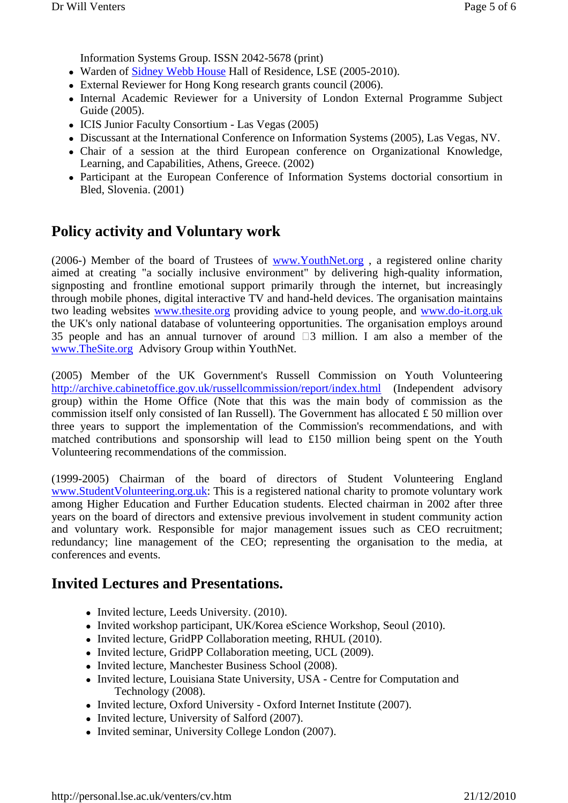Information Systems Group. ISSN 2042-5678 (print)

- Warden of Sidney Webb House Hall of Residence, LSE (2005-2010).
- External Reviewer for Hong Kong research grants council (2006).
- Internal Academic Reviewer for a University of London External Programme Subject Guide (2005).
- ICIS Junior Faculty Consortium Las Vegas (2005)
- Discussant at the International Conference on Information Systems (2005), Las Vegas, NV.
- Chair of a session at the third European conference on Organizational Knowledge, Learning, and Capabilities, Athens, Greece. (2002)
- Participant at the European Conference of Information Systems doctorial consortium in Bled, Slovenia. (2001)

# **Policy activity and Voluntary work**

(2006-) Member of the board of Trustees of www.YouthNet.org , a registered online charity aimed at creating "a socially inclusive environment" by delivering high-quality information, signposting and frontline emotional support primarily through the internet, but increasingly through mobile phones, digital interactive TV and hand-held devices. The organisation maintains two leading websites www.thesite.org providing advice to young people, and www.do-it.org.uk the UK's only national database of volunteering opportunities. The organisation employs around 35 people and has an annual turnover of around 3 million. I am also a member of the www.TheSite.org Advisory Group within YouthNet.

(2005) Member of the UK Government's Russell Commission on Youth Volunteering http://archive.cabinetoffice.gov.uk/russellcommission/report/index.html (Independent advisory group) within the Home Office (Note that this was the main body of commission as the commission itself only consisted of Ian Russell). The Government has allocated £ 50 million over three years to support the implementation of the Commission's recommendations, and with matched contributions and sponsorship will lead to £150 million being spent on the Youth Volunteering recommendations of the commission.

(1999-2005) Chairman of the board of directors of Student Volunteering England www.StudentVolunteering.org.uk: This is a registered national charity to promote voluntary work among Higher Education and Further Education students. Elected chairman in 2002 after three years on the board of directors and extensive previous involvement in student community action and voluntary work. Responsible for major management issues such as CEO recruitment; redundancy; line management of the CEO; representing the organisation to the media, at conferences and events.

### **Invited Lectures and Presentations.**

- Invited lecture, Leeds University. (2010).
- Invited workshop participant, UK/Korea eScience Workshop, Seoul (2010).
- Invited lecture, GridPP Collaboration meeting, RHUL (2010).
- Invited lecture, GridPP Collaboration meeting, UCL (2009).
- Invited lecture, Manchester Business School (2008).
- Invited lecture, Louisiana State University, USA Centre for Computation and Technology (2008).
- Invited lecture, Oxford University Oxford Internet Institute (2007).
- Invited lecture, University of Salford (2007).
- Invited seminar, University College London (2007).